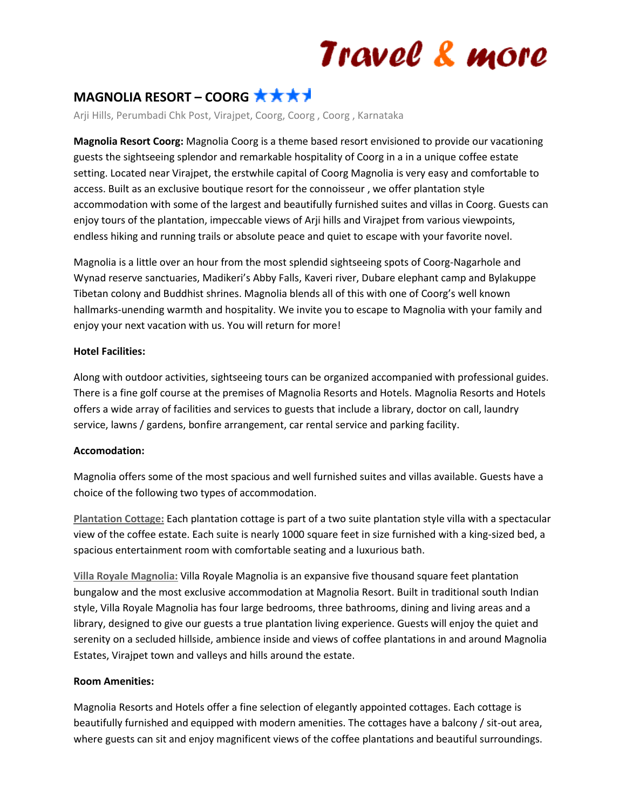# Travel & more

### **MAGNOLIA RESORT – COORG**

Arji Hills, Perumbadi Chk Post, Virajpet, Coorg, Coorg , Coorg , Karnataka

**Magnolia Resort Coorg:** Magnolia Coorg is a theme based resort envisioned to provide our vacationing guests the sightseeing splendor and remarkable hospitality of Coorg in a in a unique coffee estate setting. Located near Virajpet, the erstwhile capital of Coorg Magnolia is very easy and comfortable to access. Built as an exclusive boutique resort for the connoisseur , we offer plantation style accommodation with some of the largest and beautifully furnished suites and villas in Coorg. Guests can enjoy tours of the plantation, impeccable views of Arji hills and Virajpet from various viewpoints, endless hiking and running trails or absolute peace and quiet to escape with your favorite novel.

Magnolia is a little over an hour from the most splendid sightseeing spots of Coorg-Nagarhole and Wynad reserve sanctuaries, Madikeri's Abby Falls, Kaveri river, Dubare elephant camp and Bylakuppe Tibetan colony and Buddhist shrines. Magnolia blends all of this with one of Coorg's well known hallmarks-unending warmth and hospitality. We invite you to escape to Magnolia with your family and enjoy your next vacation with us. You will return for more!

### **Hotel Facilities:**

Along with outdoor activities, sightseeing tours can be organized accompanied with professional guides. There is a fine golf course at the premises of Magnolia Resorts and Hotels. Magnolia Resorts and Hotels offers a wide array of facilities and services to guests that include a library, doctor on call, laundry service, lawns / gardens, bonfire arrangement, car rental service and parking facility.

#### **Accomodation:**

Magnolia offers some of the most spacious and well furnished suites and villas available. Guests have a choice of the following two types of accommodation.

**Plantation Cottage:** Each plantation cottage is part of a two suite plantation style villa with a spectacular view of the coffee estate. Each suite is nearly 1000 square feet in size furnished with a king-sized bed, a spacious entertainment room with comfortable seating and a luxurious bath.

**Villa Royale Magnolia:** Villa Royale Magnolia is an expansive five thousand square feet plantation bungalow and the most exclusive accommodation at Magnolia Resort. Built in traditional south Indian style, Villa Royale Magnolia has four large bedrooms, three bathrooms, dining and living areas and a library, designed to give our guests a true plantation living experience. Guests will enjoy the quiet and serenity on a secluded hillside, ambience inside and views of coffee plantations in and around Magnolia Estates, Virajpet town and valleys and hills around the estate.

#### **Room Amenities:**

Magnolia Resorts and Hotels offer a fine selection of elegantly appointed cottages. Each cottage is beautifully furnished and equipped with modern amenities. The cottages have a balcony / sit-out area, where guests can sit and enjoy magnificent views of the coffee plantations and beautiful surroundings.